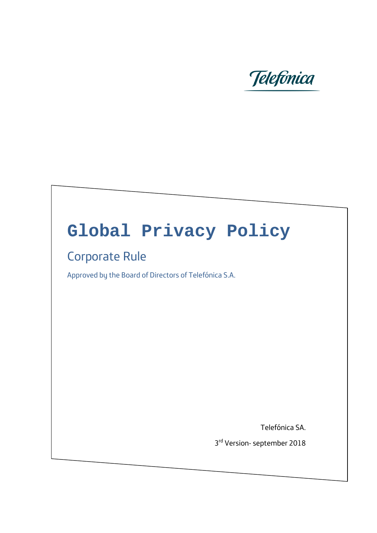

# **Global Privacy Policy**

#### Corporate Rule

Approved by the Board of Directors of Telefónica S.A.

Telefónica SA.

3rd Version- september 2018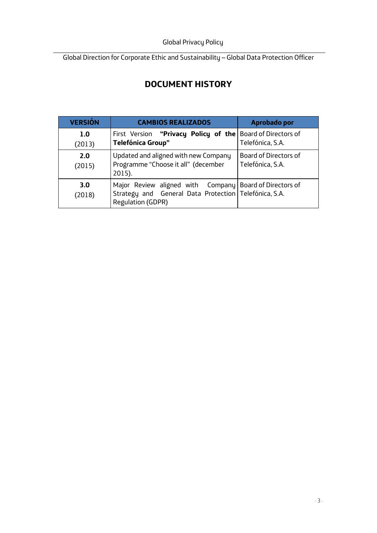#### **DOCUMENT HISTORY**

| <b>VERSIÓN</b> | <b>CAMBIOS REALIZADOS</b>                                                                                                               | Aprobado por                                     |
|----------------|-----------------------------------------------------------------------------------------------------------------------------------------|--------------------------------------------------|
| 1.0<br>(2013)  | First Version "Privacy Policy of the   Board of Directors of<br><b>Telefónica Group"</b>                                                | Telefónica, S.A.                                 |
| 2.0<br>(2015)  | Updated and aligned with new Company<br>Programme "Choose it all" (december<br>2015).                                                   | <b>Board of Directors of</b><br>Telefónica, S.A. |
| 3.0<br>(2018)  | Major Review aligned with Company Board of Directors of<br>Strategy and General Data Protection   Telefónica, S.A.<br>Regulation (GDPR) |                                                  |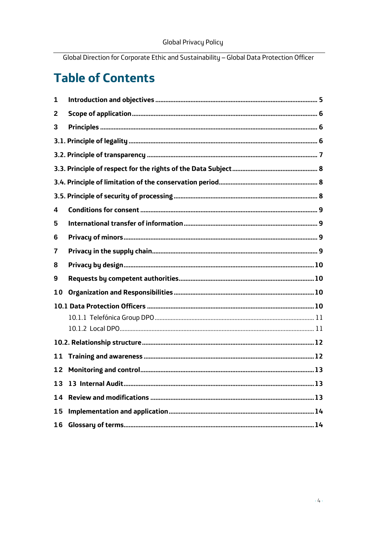#### **Table of Contents**

| 1  |  |  |
|----|--|--|
| 2  |  |  |
| 3  |  |  |
|    |  |  |
|    |  |  |
|    |  |  |
|    |  |  |
|    |  |  |
| 4  |  |  |
| 5  |  |  |
| 6  |  |  |
| 7  |  |  |
| 8  |  |  |
| 9  |  |  |
| 10 |  |  |
|    |  |  |
|    |  |  |
|    |  |  |
|    |  |  |
|    |  |  |
| 11 |  |  |
| 12 |  |  |
| 13 |  |  |
| 14 |  |  |
| 15 |  |  |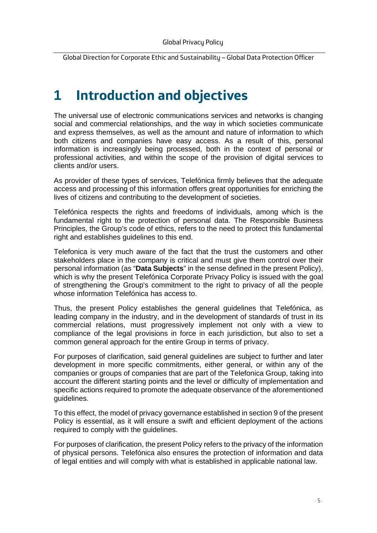#### <span id="page-4-0"></span>**1 Introduction and objectives**

The universal use of electronic communications services and networks is changing social and commercial relationships, and the way in which societies communicate and express themselves, as well as the amount and nature of information to which both citizens and companies have easy access. As a result of this, personal information is increasingly being processed, both in the context of personal or professional activities, and within the scope of the provision of digital services to clients and/or users.

As provider of these types of services, Telefónica firmly believes that the adequate access and processing of this information offers great opportunities for enriching the lives of citizens and contributing to the development of societies.

Telefónica respects the rights and freedoms of individuals, among which is the fundamental right to the protection of personal data. The Responsible Business Principles, the Group's code of ethics, refers to the need to protect this fundamental right and establishes guidelines to this end.

Telefonica is very much aware of the fact that the trust the customers and other stakeholders place in the company is critical and must give them control over their personal information (as "**Data Subjects**" in the sense defined in the present Policy), which is why the present Telefónica Corporate Privacy Policy is issued with the goal of strengthening the Group's commitment to the right to privacy of all the people whose information Telefónica has access to.

Thus, the present Policy establishes the general guidelines that Telefónica, as leading company in the industry, and in the development of standards of trust in its commercial relations, must progressively implement not only with a view to compliance of the legal provisions in force in each jurisdiction, but also to set a common general approach for the entire Group in terms of privacy.

For purposes of clarification, said general guidelines are subject to further and later development in more specific commitments, either general, or within any of the companies or groups of companies that are part of the Telefonica Group, taking into account the different starting points and the level or difficulty of implementation and specific actions required to promote the adequate observance of the aforementioned guidelines.

To this effect, the model of privacy governance established in section 9 of the present Policy is essential, as it will ensure a swift and efficient deployment of the actions required to comply with the guidelines.

For purposes of clarification, the present Policy refers to the privacy of the information of physical persons. Telefónica also ensures the protection of information and data of legal entities and will comply with what is established in applicable national law.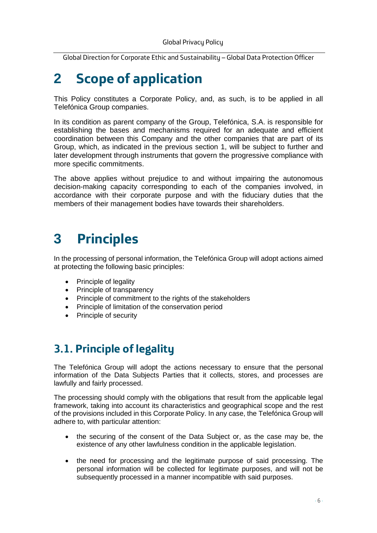## <span id="page-5-0"></span>**2 Scope of application**

This Policy constitutes a Corporate Policy, and, as such, is to be applied in all Telefónica Group companies.

In its condition as parent company of the Group, Telefónica, S.A. is responsible for establishing the bases and mechanisms required for an adequate and efficient coordination between this Company and the other companies that are part of its Group, which, as indicated in the previous section 1, will be subject to further and later development through instruments that govern the progressive compliance with more specific commitments.

The above applies without prejudice to and without impairing the autonomous decision-making capacity corresponding to each of the companies involved, in accordance with their corporate purpose and with the fiduciary duties that the members of their management bodies have towards their shareholders.

## <span id="page-5-1"></span>**3 Principles**

In the processing of personal information, the Telefónica Group will adopt actions aimed at protecting the following basic principles:

- Principle of legality
- Principle of transparency
- Principle of commitment to the rights of the stakeholders
- Principle of limitation of the conservation period
- Principle of security

#### <span id="page-5-2"></span>**3.1. Principle of legality**

The Telefónica Group will adopt the actions necessary to ensure that the personal information of the Data Subjects Parties that it collects, stores, and processes are lawfully and fairly processed.

The processing should comply with the obligations that result from the applicable legal framework, taking into account its characteristics and geographical scope and the rest of the provisions included in this Corporate Policy. In any case, the Telefónica Group will adhere to, with particular attention:

- the securing of the consent of the Data Subject or, as the case may be, the existence of any other lawfulness condition in the applicable legislation.
- the need for processing and the legitimate purpose of said processing. The personal information will be collected for legitimate purposes, and will not be subsequently processed in a manner incompatible with said purposes.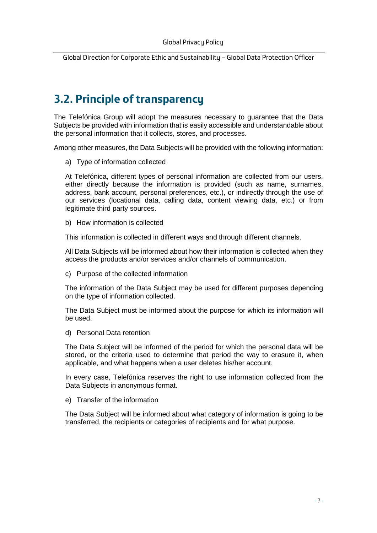#### <span id="page-6-0"></span>**3.2. Principle of transparency**

The Telefónica Group will adopt the measures necessary to guarantee that the Data Subjects be provided with information that is easily accessible and understandable about the personal information that it collects, stores, and processes.

Among other measures, the Data Subjects will be provided with the following information:

a) Type of information collected

At Telefónica, different types of personal information are collected from our users, either directly because the information is provided (such as name, surnames, address, bank account, personal preferences, etc.), or indirectly through the use of our services (locational data, calling data, content viewing data, etc.) or from legitimate third party sources.

b) How information is collected

This information is collected in different ways and through different channels.

All Data Subjects will be informed about how their information is collected when they access the products and/or services and/or channels of communication.

c) Purpose of the collected information

The information of the Data Subject may be used for different purposes depending on the type of information collected.

The Data Subject must be informed about the purpose for which its information will be used.

d) Personal Data retention

The Data Subject will be informed of the period for which the personal data will be stored, or the criteria used to determine that period the way to erasure it, when applicable, and what happens when a user deletes his/her account.

In every case, Telefónica reserves the right to use information collected from the Data Subjects in anonymous format.

e) Transfer of the information

The Data Subject will be informed about what category of information is going to be transferred, the recipients or categories of recipients and for what purpose.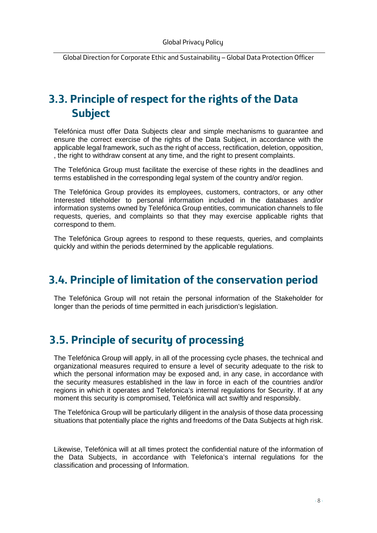#### <span id="page-7-0"></span>**3.3. Principle of respect for the rights of the Data Subject**

Telefónica must offer Data Subjects clear and simple mechanisms to guarantee and ensure the correct exercise of the rights of the Data Subject, in accordance with the applicable legal framework, such as the right of access, rectification, deletion, opposition, , the right to withdraw consent at any time, and the right to present complaints.

The Telefónica Group must facilitate the exercise of these rights in the deadlines and terms established in the corresponding legal system of the country and/or region.

The Telefónica Group provides its employees, customers, contractors, or any other Interested titleholder to personal information included in the databases and/or information systems owned by Telefónica Group entities, communication channels to file requests, queries, and complaints so that they may exercise applicable rights that correspond to them.

The Telefónica Group agrees to respond to these requests, queries, and complaints quickly and within the periods determined by the applicable regulations.

#### <span id="page-7-1"></span>**3.4. Principle of limitation of the conservation period**

The Telefónica Group will not retain the personal information of the Stakeholder for longer than the periods of time permitted in each jurisdiction's legislation.

#### <span id="page-7-2"></span>**3.5. Principle of security of processing**

The Telefónica Group will apply, in all of the processing cycle phases, the technical and organizational measures required to ensure a level of security adequate to the risk to which the personal information may be exposed and, in any case, in accordance with the security measures established in the law in force in each of the countries and/or regions in which it operates and Telefonica's internal regulations for Security. If at any moment this security is compromised, Telefónica will act swiftly and responsibly.

The Telefónica Group will be particularly diligent in the analysis of those data processing situations that potentially place the rights and freedoms of the Data Subjects at high risk.

Likewise, Telefónica will at all times protect the confidential nature of the information of the Data Subjects, in accordance with Telefonica's internal regulations for the classification and processing of Information.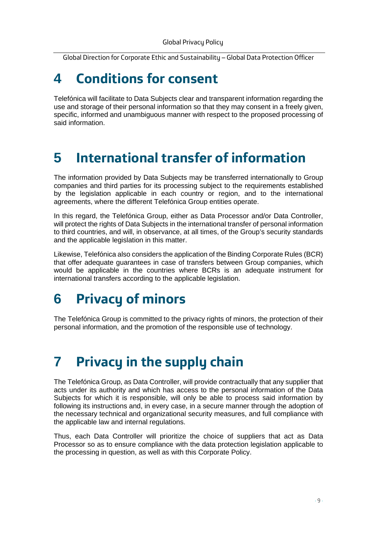### <span id="page-8-0"></span>**4 Conditions for consent**

Telefónica will facilitate to Data Subjects clear and transparent information regarding the use and storage of their personal information so that they may consent in a freely given, specific, informed and unambiguous manner with respect to the proposed processing of said information.

### <span id="page-8-1"></span>**5 International transfer of information**

The information provided by Data Subjects may be transferred internationally to Group companies and third parties for its processing subject to the requirements established by the legislation applicable in each country or region, and to the international agreements, where the different Telefónica Group entities operate.

In this regard, the Telefónica Group, either as Data Processor and/or Data Controller, will protect the rights of Data Subjects in the international transfer of personal information to third countries, and will, in observance, at all times, of the Group's security standards and the applicable legislation in this matter.

Likewise, Telefónica also considers the application of the Binding Corporate Rules (BCR) that offer adequate guarantees in case of transfers between Group companies, which would be applicable in the countries where BCRs is an adequate instrument for international transfers according to the applicable legislation.

### <span id="page-8-2"></span>**6 Privacy of minors**

The Telefónica Group is committed to the privacy rights of minors, the protection of their personal information, and the promotion of the responsible use of technology.

### <span id="page-8-3"></span>**7 Privacy in the supply chain**

The Telefónica Group, as Data Controller, will provide contractually that any supplier that acts under its authority and which has access to the personal information of the Data Subjects for which it is responsible, will only be able to process said information by following its instructions and, in every case, in a secure manner through the adoption of the necessary technical and organizational security measures, and full compliance with the applicable law and internal regulations.

Thus, each Data Controller will prioritize the choice of suppliers that act as Data Processor so as to ensure compliance with the data protection legislation applicable to the processing in question, as well as with this Corporate Policy.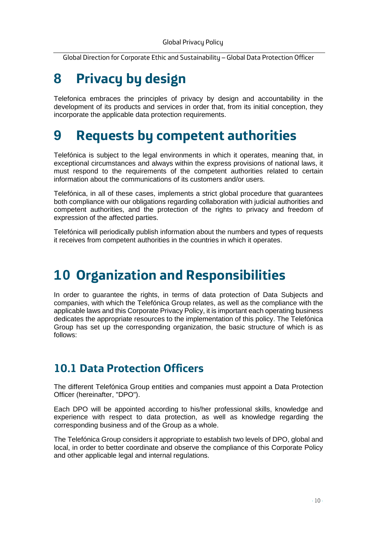## <span id="page-9-0"></span>**8 Privacy by design**

Telefonica embraces the principles of privacy by design and accountability in the development of its products and services in order that, from its initial conception, they incorporate the applicable data protection requirements.

### <span id="page-9-1"></span>**9 Requests by competent authorities**

Telefónica is subject to the legal environments in which it operates, meaning that, in exceptional circumstances and always within the express provisions of national laws, it must respond to the requirements of the competent authorities related to certain information about the communications of its customers and/or users.

Telefónica, in all of these cases, implements a strict global procedure that guarantees both compliance with our obligations regarding collaboration with judicial authorities and competent authorities, and the protection of the rights to privacy and freedom of expression of the affected parties.

Telefónica will periodically publish information about the numbers and types of requests it receives from competent authorities in the countries in which it operates.

### <span id="page-9-2"></span>**10 Organization and Responsibilities**

In order to guarantee the rights, in terms of data protection of Data Subjects and companies, with which the Telefónica Group relates, as well as the compliance with the applicable laws and this Corporate Privacy Policy, it is important each operating business dedicates the appropriate resources to the implementation of this policy. The Telefónica Group has set up the corresponding organization, the basic structure of which is as follows:

#### <span id="page-9-3"></span>**10.1 Data Protection Officers**

The different Telefónica Group entities and companies must appoint a Data Protection Officer (hereinafter, "DPO").

Each DPO will be appointed according to his/her professional skills, knowledge and experience with respect to data protection, as well as knowledge regarding the corresponding business and of the Group as a whole.

The Telefónica Group considers it appropriate to establish two levels of DPO, global and local, in order to better coordinate and observe the compliance of this Corporate Policy and other applicable legal and internal regulations.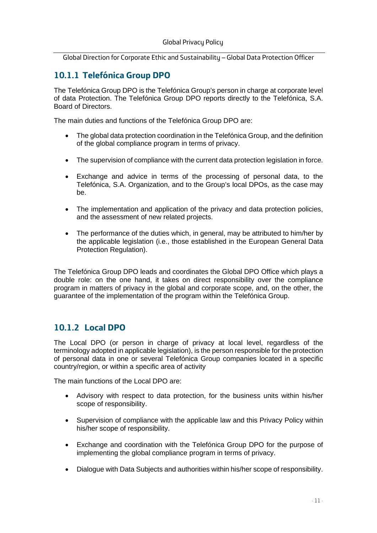#### <span id="page-10-0"></span>**10.1.1 Telefónica Group DPO**

The Telefónica Group DPO is the Telefónica Group's person in charge at corporate level of data Protection. The Telefónica Group DPO reports directly to the Telefónica, S.A. Board of Directors.

The main duties and functions of the Telefónica Group DPO are:

- The global data protection coordination in the Telefónica Group, and the definition of the global compliance program in terms of privacy.
- The supervision of compliance with the current data protection legislation in force.
- Exchange and advice in terms of the processing of personal data, to the Telefónica, S.A. Organization, and to the Group's local DPOs, as the case may be.
- The implementation and application of the privacy and data protection policies, and the assessment of new related projects.
- The performance of the duties which, in general, may be attributed to him/her by the applicable legislation (i.e., those established in the European General Data Protection Regulation).

The Telefónica Group DPO leads and coordinates the Global DPO Office which plays a double role: on the one hand, it takes on direct responsibility over the compliance program in matters of privacy in the global and corporate scope, and, on the other, the guarantee of the implementation of the program within the Telefónica Group.

#### <span id="page-10-1"></span>**10.1.2 Local DPO**

The Local DPO (or person in charge of privacy at local level, regardless of the terminology adopted in applicable legislation), is the person responsible for the protection of personal data in one or several Telefónica Group companies located in a specific country/region, or within a specific area of activity

The main functions of the Local DPO are:

- Advisory with respect to data protection, for the business units within his/her scope of responsibility.
- Supervision of compliance with the applicable law and this Privacy Policy within his/her scope of responsibility.
- Exchange and coordination with the Telefónica Group DPO for the purpose of implementing the global compliance program in terms of privacy.
- Dialogue with Data Subjects and authorities within his/her scope of responsibility.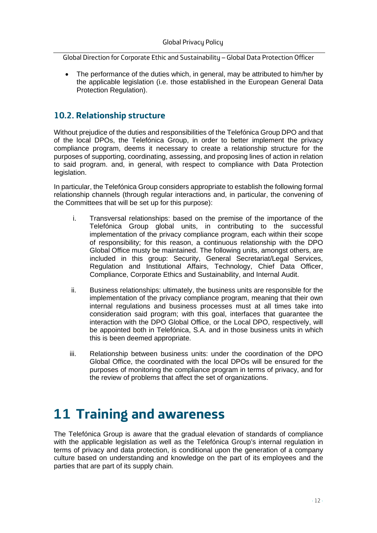The performance of the duties which, in general, may be attributed to him/her by the applicable legislation (i.e. those established in the European General Data Protection Regulation).

#### <span id="page-11-0"></span>**10.2. Relationship structure**

Without prejudice of the duties and responsibilities of the Telefónica Group DPO and that of the local DPOs, the Telefónica Group, in order to better implement the privacy compliance program, deems it necessary to create a relationship structure for the purposes of supporting, coordinating, assessing, and proposing lines of action in relation to said program. and, in general, with respect to compliance with Data Protection legislation.

In particular, the Telefónica Group considers appropriate to establish the following formal relationship channels (through regular interactions and, in particular, the convening of the Committees that will be set up for this purpose):

- i. Transversal relationships: based on the premise of the importance of the Telefónica Group global units, in contributing to the successful implementation of the privacy compliance program, each within their scope of responsibility; for this reason, a continuous relationship with the DPO Global Office musty be maintained. The following units, amongst others, are included in this group: Security, General Secretariat/Legal Services, Regulation and Institutional Affairs, Technology, Chief Data Officer, Compliance, Corporate Ethics and Sustainability, and Internal Audit.
- ii. Business relationships: ultimately, the business units are responsible for the implementation of the privacy compliance program, meaning that their own internal regulations and business processes must at all times take into consideration said program; with this goal, interfaces that guarantee the interaction with the DPO Global Office, or the Local DPO, respectively, will be appointed both in Telefónica, S.A. and in those business units in which this is been deemed appropriate.
- iii. Relationship between business units: under the coordination of the DPO Global Office, the coordinated with the local DPOs will be ensured for the purposes of monitoring the compliance program in terms of privacy, and for the review of problems that affect the set of organizations.

#### <span id="page-11-1"></span>**11 Training and awareness**

The Telefónica Group is aware that the gradual elevation of standards of compliance with the applicable legislation as well as the Telefónica Group's internal regulation in terms of privacy and data protection, is conditional upon the generation of a company culture based on understanding and knowledge on the part of its employees and the parties that are part of its supply chain.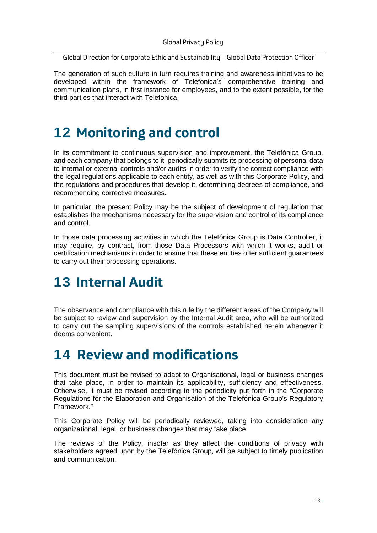The generation of such culture in turn requires training and awareness initiatives to be developed within the framework of Telefonica's comprehensive training and communication plans, in first instance for employees, and to the extent possible, for the third parties that interact with Telefonica.

## <span id="page-12-0"></span>**12 Monitoring and control**

In its commitment to continuous supervision and improvement, the Telefónica Group, and each company that belongs to it, periodically submits its processing of personal data to internal or external controls and/or audits in order to verify the correct compliance with the legal regulations applicable to each entity, as well as with this Corporate Policy, and the regulations and procedures that develop it, determining degrees of compliance, and recommending corrective measures.

In particular, the present Policy may be the subject of development of regulation that establishes the mechanisms necessary for the supervision and control of its compliance and control.

In those data processing activities in which the Telefónica Group is Data Controller, it may require, by contract, from those Data Processors with which it works, audit or certification mechanisms in order to ensure that these entities offer sufficient guarantees to carry out their processing operations.

## <span id="page-12-1"></span>**13 Internal Audit**

The observance and compliance with this rule by the different areas of the Company will be subject to review and supervision by the Internal Audit area, who will be authorized to carry out the sampling supervisions of the controls established herein whenever it deems convenient.

## <span id="page-12-2"></span>**14 Review and modifications**

This document must be revised to adapt to Organisational, legal or business changes that take place, in order to maintain its applicability, sufficiency and effectiveness. Otherwise, it must be revised according to the periodicity put forth in the "Corporate Regulations for the Elaboration and Organisation of the Telefónica Group's Regulatory Framework."

This Corporate Policy will be periodically reviewed, taking into consideration any organizational, legal, or business changes that may take place.

The reviews of the Policy, insofar as they affect the conditions of privacy with stakeholders agreed upon by the Telefónica Group, will be subject to timely publication and communication.